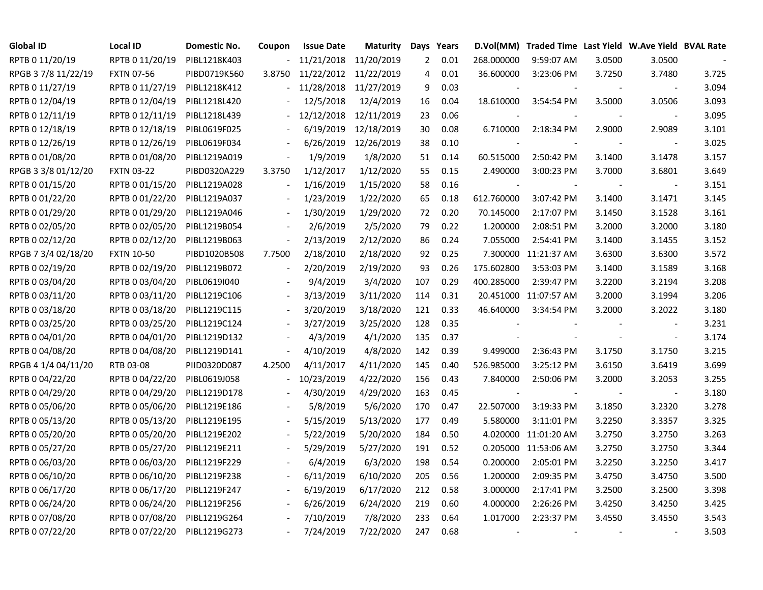| Global ID           | <b>Local ID</b>   | Domestic No. | Coupon | <b>Issue Date</b>     | <b>Maturity</b> | Days Years     |      |                          | D.Vol(MM) Traded Time Last Yield W.Ave Yield BVAL Rate |        |                          |       |
|---------------------|-------------------|--------------|--------|-----------------------|-----------------|----------------|------|--------------------------|--------------------------------------------------------|--------|--------------------------|-------|
| RPTB 0 11/20/19     | RPTB 0 11/20/19   | PIBL1218K403 |        | 11/21/2018 11/20/2019 |                 | $\overline{2}$ | 0.01 | 268.000000               | 9:59:07 AM                                             | 3.0500 | 3.0500                   |       |
| RPGB 37/8 11/22/19  | <b>FXTN 07-56</b> | PIBD0719K560 | 3.8750 | 11/22/2012            | 11/22/2019      | 4              | 0.01 | 36.600000                | 3:23:06 PM                                             | 3.7250 | 3.7480                   | 3.725 |
| RPTB 0 11/27/19     | RPTB 0 11/27/19   | PIBL1218K412 |        | 11/28/2018            | 11/27/2019      | 9              | 0.03 |                          |                                                        |        |                          | 3.094 |
| RPTB 0 12/04/19     | RPTB 0 12/04/19   | PIBL1218L420 |        | 12/5/2018             | 12/4/2019       | 16             | 0.04 | 18.610000                | 3:54:54 PM                                             | 3.5000 | 3.0506                   | 3.093 |
| RPTB 0 12/11/19     | RPTB 0 12/11/19   | PIBL1218L439 |        | 12/12/2018            | 12/11/2019      | 23             | 0.06 |                          |                                                        |        |                          | 3.095 |
| RPTB 0 12/18/19     | RPTB 0 12/18/19   | PIBL0619F025 |        | 6/19/2019             | 12/18/2019      | 30             | 0.08 | 6.710000                 | 2:18:34 PM                                             | 2.9000 | 2.9089                   | 3.101 |
| RPTB 0 12/26/19     | RPTB 0 12/26/19   | PIBL0619F034 |        | 6/26/2019             | 12/26/2019      | 38             | 0.10 |                          |                                                        |        |                          | 3.025 |
| RPTB 0 01/08/20     | RPTB 0 01/08/20   | PIBL1219A019 |        | 1/9/2019              | 1/8/2020        | 51             | 0.14 | 60.515000                | 2:50:42 PM                                             | 3.1400 | 3.1478                   | 3.157 |
| RPGB 3 3/8 01/12/20 | <b>FXTN 03-22</b> | PIBD0320A229 | 3.3750 | 1/12/2017             | 1/12/2020       | 55             | 0.15 | 2.490000                 | 3:00:23 PM                                             | 3.7000 | 3.6801                   | 3.649 |
| RPTB 0 01/15/20     | RPTB 0 01/15/20   | PIBL1219A028 |        | 1/16/2019             | 1/15/2020       | 58             | 0.16 |                          |                                                        |        | $\overline{\phantom{a}}$ | 3.151 |
| RPTB 0 01/22/20     | RPTB 0 01/22/20   | PIBL1219A037 |        | 1/23/2019             | 1/22/2020       | 65             | 0.18 | 612.760000               | 3:07:42 PM                                             | 3.1400 | 3.1471                   | 3.145 |
| RPTB 0 01/29/20     | RPTB 0 01/29/20   | PIBL1219A046 |        | 1/30/2019             | 1/29/2020       | 72             | 0.20 | 70.145000                | 2:17:07 PM                                             | 3.1450 | 3.1528                   | 3.161 |
| RPTB 0 02/05/20     | RPTB 0 02/05/20   | PIBL1219B054 |        | 2/6/2019              | 2/5/2020        | 79             | 0.22 | 1.200000                 | 2:08:51 PM                                             | 3.2000 | 3.2000                   | 3.180 |
| RPTB 0 02/12/20     | RPTB 0 02/12/20   | PIBL1219B063 |        | 2/13/2019             | 2/12/2020       | 86             | 0.24 | 7.055000                 | 2:54:41 PM                                             | 3.1400 | 3.1455                   | 3.152 |
| RPGB 7 3/4 02/18/20 | <b>FXTN 10-50</b> | PIBD1020B508 | 7.7500 | 2/18/2010             | 2/18/2020       | 92             | 0.25 | 7.300000                 | 11:21:37 AM                                            | 3.6300 | 3.6300                   | 3.572 |
| RPTB 0 02/19/20     | RPTB 0 02/19/20   | PIBL1219B072 |        | 2/20/2019             | 2/19/2020       | 93             | 0.26 | 175.602800               | 3:53:03 PM                                             | 3.1400 | 3.1589                   | 3.168 |
| RPTB 0 03/04/20     | RPTB 0 03/04/20   | PIBL0619I040 |        | 9/4/2019              | 3/4/2020        | 107            | 0.29 | 400.285000               | 2:39:47 PM                                             | 3.2200 | 3.2194                   | 3.208 |
| RPTB 0 03/11/20     | RPTB 0 03/11/20   | PIBL1219C106 |        | 3/13/2019             | 3/11/2020       | 114            | 0.31 |                          | 20.451000 11:07:57 AM                                  | 3.2000 | 3.1994                   | 3.206 |
| RPTB 0 03/18/20     | RPTB 0 03/18/20   | PIBL1219C115 |        | 3/20/2019             | 3/18/2020       | 121            | 0.33 | 46.640000                | 3:34:54 PM                                             | 3.2000 | 3.2022                   | 3.180 |
| RPTB 0 03/25/20     | RPTB 0 03/25/20   | PIBL1219C124 |        | 3/27/2019             | 3/25/2020       | 128            | 0.35 |                          |                                                        |        |                          | 3.231 |
| RPTB 0 04/01/20     | RPTB 0 04/01/20   | PIBL1219D132 |        | 4/3/2019              | 4/1/2020        | 135            | 0.37 |                          |                                                        |        |                          | 3.174 |
| RPTB 0 04/08/20     | RPTB 0 04/08/20   | PIBL1219D141 |        | 4/10/2019             | 4/8/2020        | 142            | 0.39 | 9.499000                 | 2:36:43 PM                                             | 3.1750 | 3.1750                   | 3.215 |
| RPGB 4 1/4 04/11/20 | RTB 03-08         | PIID0320D087 | 4.2500 | 4/11/2017             | 4/11/2020       | 145            | 0.40 | 526.985000               | 3:25:12 PM                                             | 3.6150 | 3.6419                   | 3.699 |
| RPTB 0 04/22/20     | RPTB 0 04/22/20   | PIBL0619J058 |        | 10/23/2019            | 4/22/2020       | 156            | 0.43 | 7.840000                 | 2:50:06 PM                                             | 3.2000 | 3.2053                   | 3.255 |
| RPTB 0 04/29/20     | RPTB 0 04/29/20   | PIBL1219D178 |        | 4/30/2019             | 4/29/2020       | 163            | 0.45 | $\overline{\phantom{a}}$ |                                                        |        | $\blacksquare$           | 3.180 |
| RPTB 0 05/06/20     | RPTB 0 05/06/20   | PIBL1219E186 |        | 5/8/2019              | 5/6/2020        | 170            | 0.47 | 22.507000                | 3:19:33 PM                                             | 3.1850 | 3.2320                   | 3.278 |
| RPTB 0 05/13/20     | RPTB 0 05/13/20   | PIBL1219E195 |        | 5/15/2019             | 5/13/2020       | 177            | 0.49 | 5.580000                 | 3:11:01 PM                                             | 3.2250 | 3.3357                   | 3.325 |
| RPTB 0 05/20/20     | RPTB 0 05/20/20   | PIBL1219E202 |        | 5/22/2019             | 5/20/2020       | 184            | 0.50 |                          | 4.020000 11:01:20 AM                                   | 3.2750 | 3.2750                   | 3.263 |
| RPTB 0 05/27/20     | RPTB 0 05/27/20   | PIBL1219E211 |        | 5/29/2019             | 5/27/2020       | 191            | 0.52 |                          | 0.205000 11:53:06 AM                                   | 3.2750 | 3.2750                   | 3.344 |
| RPTB 0 06/03/20     | RPTB 0 06/03/20   | PIBL1219F229 |        | 6/4/2019              | 6/3/2020        | 198            | 0.54 | 0.200000                 | 2:05:01 PM                                             | 3.2250 | 3.2250                   | 3.417 |
| RPTB 0 06/10/20     | RPTB 0 06/10/20   | PIBL1219F238 |        | 6/11/2019             | 6/10/2020       | 205            | 0.56 | 1.200000                 | 2:09:35 PM                                             | 3.4750 | 3.4750                   | 3.500 |
| RPTB 0 06/17/20     | RPTB 0 06/17/20   | PIBL1219F247 |        | 6/19/2019             | 6/17/2020       | 212            | 0.58 | 3.000000                 | 2:17:41 PM                                             | 3.2500 | 3.2500                   | 3.398 |
| RPTB 0 06/24/20     | RPTB 0 06/24/20   | PIBL1219F256 |        | 6/26/2019             | 6/24/2020       | 219            | 0.60 | 4.000000                 | 2:26:26 PM                                             | 3.4250 | 3.4250                   | 3.425 |
| RPTB 0 07/08/20     | RPTB 0 07/08/20   | PIBL1219G264 |        | 7/10/2019             | 7/8/2020        | 233            | 0.64 | 1.017000                 | 2:23:37 PM                                             | 3.4550 | 3.4550                   | 3.543 |
| RPTB 0 07/22/20     | RPTB 0 07/22/20   | PIBL1219G273 |        | 7/24/2019             | 7/22/2020       | 247            | 0.68 | $\tilde{\phantom{a}}$    |                                                        |        |                          | 3.503 |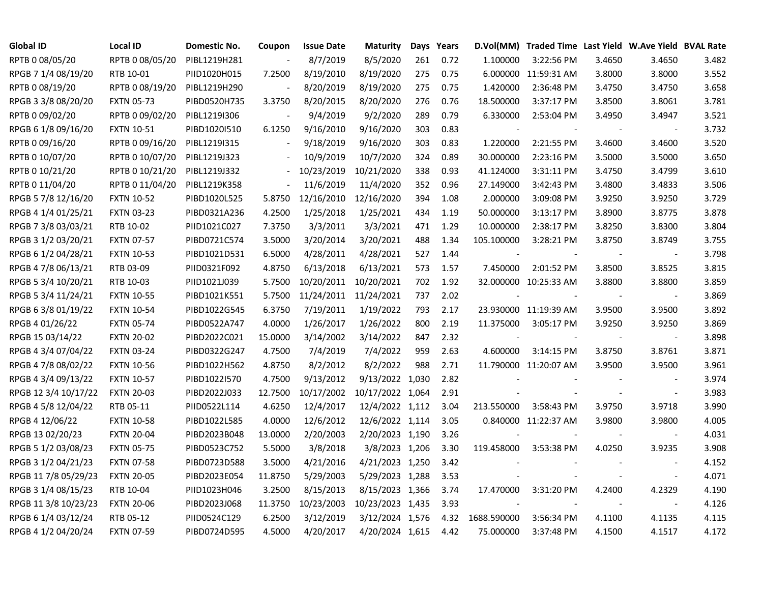| Global ID            | <b>Local ID</b>   | Domestic No. | Coupon         | <b>Issue Date</b> | <b>Maturity</b>  |     | Days Years |             | D.Vol(MM) Traded Time Last Yield W.Ave Yield BVAL Rate |              |                          |       |
|----------------------|-------------------|--------------|----------------|-------------------|------------------|-----|------------|-------------|--------------------------------------------------------|--------------|--------------------------|-------|
| RPTB 0 08/05/20      | RPTB 0 08/05/20   | PIBL1219H281 |                | 8/7/2019          | 8/5/2020         | 261 | 0.72       | 1.100000    | 3:22:56 PM                                             | 3.4650       | 3.4650                   | 3.482 |
| RPGB 7 1/4 08/19/20  | RTB 10-01         | PIID1020H015 | 7.2500         | 8/19/2010         | 8/19/2020        | 275 | 0.75       |             | 6.000000 11:59:31 AM                                   | 3.8000       | 3.8000                   | 3.552 |
| RPTB 0 08/19/20      | RPTB 0 08/19/20   | PIBL1219H290 |                | 8/20/2019         | 8/19/2020        | 275 | 0.75       | 1.420000    | 2:36:48 PM                                             | 3.4750       | 3.4750                   | 3.658 |
| RPGB 3 3/8 08/20/20  | <b>FXTN 05-73</b> | PIBD0520H735 | 3.3750         | 8/20/2015         | 8/20/2020        | 276 | 0.76       | 18.500000   | 3:37:17 PM                                             | 3.8500       | 3.8061                   | 3.781 |
| RPTB 0 09/02/20      | RPTB 0 09/02/20   | PIBL1219I306 |                | 9/4/2019          | 9/2/2020         | 289 | 0.79       | 6.330000    | 2:53:04 PM                                             | 3.4950       | 3.4947                   | 3.521 |
| RPGB 6 1/8 09/16/20  | <b>FXTN 10-51</b> | PIBD1020I510 | 6.1250         | 9/16/2010         | 9/16/2020        | 303 | 0.83       |             |                                                        |              | $\overline{\phantom{a}}$ | 3.732 |
| RPTB 0 09/16/20      | RPTB 0 09/16/20   | PIBL1219I315 | $\blacksquare$ | 9/18/2019         | 9/16/2020        | 303 | 0.83       | 1.220000    | 2:21:55 PM                                             | 3.4600       | 3.4600                   | 3.520 |
| RPTB 0 10/07/20      | RPTB 0 10/07/20   | PIBL1219J323 |                | 10/9/2019         | 10/7/2020        | 324 | 0.89       | 30.000000   | 2:23:16 PM                                             | 3.5000       | 3.5000                   | 3.650 |
| RPTB 0 10/21/20      | RPTB 0 10/21/20   | PIBL1219J332 | $\sim$         | 10/23/2019        | 10/21/2020       | 338 | 0.93       | 41.124000   | 3:31:11 PM                                             | 3.4750       | 3.4799                   | 3.610 |
| RPTB 0 11/04/20      | RPTB 0 11/04/20   | PIBL1219K358 | $\blacksquare$ | 11/6/2019         | 11/4/2020        | 352 | 0.96       | 27.149000   | 3:42:43 PM                                             | 3.4800       | 3.4833                   | 3.506 |
| RPGB 5 7/8 12/16/20  | <b>FXTN 10-52</b> | PIBD1020L525 | 5.8750         | 12/16/2010        | 12/16/2020       | 394 | 1.08       | 2.000000    | 3:09:08 PM                                             | 3.9250       | 3.9250                   | 3.729 |
| RPGB 4 1/4 01/25/21  | <b>FXTN 03-23</b> | PIBD0321A236 | 4.2500         | 1/25/2018         | 1/25/2021        | 434 | 1.19       | 50.000000   | 3:13:17 PM                                             | 3.8900       | 3.8775                   | 3.878 |
| RPGB 7 3/8 03/03/21  | RTB 10-02         | PIID1021C027 | 7.3750         | 3/3/2011          | 3/3/2021         | 471 | 1.29       | 10.000000   | 2:38:17 PM                                             | 3.8250       | 3.8300                   | 3.804 |
| RPGB 3 1/2 03/20/21  | <b>FXTN 07-57</b> | PIBD0721C574 | 3.5000         | 3/20/2014         | 3/20/2021        | 488 | 1.34       | 105.100000  | 3:28:21 PM                                             | 3.8750       | 3.8749                   | 3.755 |
| RPGB 6 1/2 04/28/21  | <b>FXTN 10-53</b> | PIBD1021D531 | 6.5000         | 4/28/2011         | 4/28/2021        | 527 | 1.44       |             |                                                        |              |                          | 3.798 |
| RPGB 4 7/8 06/13/21  | RTB 03-09         | PIID0321F092 | 4.8750         | 6/13/2018         | 6/13/2021        | 573 | 1.57       | 7.450000    | 2:01:52 PM                                             | 3.8500       | 3.8525                   | 3.815 |
| RPGB 5 3/4 10/20/21  | RTB 10-03         | PIID1021J039 | 5.7500         | 10/20/2011        | 10/20/2021       | 702 | 1.92       |             | 32.000000 10:25:33 AM                                  | 3.8800       | 3.8800                   | 3.859 |
| RPGB 5 3/4 11/24/21  | <b>FXTN 10-55</b> | PIBD1021K551 | 5.7500         | 11/24/2011        | 11/24/2021       | 737 | 2.02       |             |                                                        |              | $\sim$                   | 3.869 |
| RPGB 63/801/19/22    | <b>FXTN 10-54</b> | PIBD1022G545 | 6.3750         | 7/19/2011         | 1/19/2022        | 793 | 2.17       |             | 23.930000 11:19:39 AM                                  | 3.9500       | 3.9500                   | 3.892 |
| RPGB 4 01/26/22      | <b>FXTN 05-74</b> | PIBD0522A747 | 4.0000         | 1/26/2017         | 1/26/2022        | 800 | 2.19       | 11.375000   | 3:05:17 PM                                             | 3.9250       | 3.9250                   | 3.869 |
| RPGB 15 03/14/22     | <b>FXTN 20-02</b> | PIBD2022C021 | 15.0000        | 3/14/2002         | 3/14/2022        | 847 | 2.32       |             |                                                        |              | $\sim$                   | 3.898 |
| RPGB 4 3/4 07/04/22  | <b>FXTN 03-24</b> | PIBD0322G247 | 4.7500         | 7/4/2019          | 7/4/2022         | 959 | 2.63       | 4.600000    | 3:14:15 PM                                             | 3.8750       | 3.8761                   | 3.871 |
| RPGB 4 7/8 08/02/22  | <b>FXTN 10-56</b> | PIBD1022H562 | 4.8750         | 8/2/2012          | 8/2/2022         | 988 | 2.71       |             | 11.790000 11:20:07 AM                                  | 3.9500       | 3.9500                   | 3.961 |
| RPGB 4 3/4 09/13/22  | <b>FXTN 10-57</b> | PIBD1022I570 | 4.7500         | 9/13/2012         | 9/13/2022 1,030  |     | 2.82       |             |                                                        |              | $\overline{\phantom{a}}$ | 3.974 |
| RPGB 12 3/4 10/17/22 | <b>FXTN 20-03</b> | PIBD2022J033 | 12.7500        | 10/17/2002        | 10/17/2022 1,064 |     | 2.91       |             |                                                        |              | $\overline{\phantom{a}}$ | 3.983 |
| RPGB 4 5/8 12/04/22  | RTB 05-11         | PIID0522L114 | 4.6250         | 12/4/2017         | 12/4/2022 1,112  |     | 3.04       | 213.550000  | 3:58:43 PM                                             | 3.9750       | 3.9718                   | 3.990 |
| RPGB 4 12/06/22      | <b>FXTN 10-58</b> | PIBD1022L585 | 4.0000         | 12/6/2012         | 12/6/2022 1,114  |     | 3.05       |             | 0.840000 11:22:37 AM                                   | 3.9800       | 3.9800                   | 4.005 |
| RPGB 13 02/20/23     | <b>FXTN 20-04</b> | PIBD2023B048 | 13.0000        | 2/20/2003         | 2/20/2023 1,190  |     | 3.26       |             |                                                        |              | $\overline{\phantom{a}}$ | 4.031 |
| RPGB 5 1/2 03/08/23  | <b>FXTN 05-75</b> | PIBD0523C752 | 5.5000         | 3/8/2018          | 3/8/2023 1,206   |     | 3.30       | 119.458000  | 3:53:38 PM                                             | 4.0250       | 3.9235                   | 3.908 |
| RPGB 3 1/2 04/21/23  | <b>FXTN 07-58</b> | PIBD0723D588 | 3.5000         | 4/21/2016         | 4/21/2023 1,250  |     | 3.42       |             |                                                        |              | $\overline{\phantom{a}}$ | 4.152 |
| RPGB 11 7/8 05/29/23 | <b>FXTN 20-05</b> | PIBD2023E054 | 11.8750        | 5/29/2003         | 5/29/2023 1,288  |     | 3.53       |             |                                                        |              | $\blacksquare$           | 4.071 |
| RPGB 3 1/4 08/15/23  | RTB 10-04         | PIID1023H046 | 3.2500         | 8/15/2013         | 8/15/2023 1,366  |     | 3.74       | 17.470000   | 3:31:20 PM                                             | 4.2400       | 4.2329                   | 4.190 |
| RPGB 11 3/8 10/23/23 | <b>FXTN 20-06</b> | PIBD2023J068 | 11.3750        | 10/23/2003        | 10/23/2023 1,435 |     | 3.93       |             |                                                        | $\mathbb{Z}$ | $\blacksquare$           | 4.126 |
| RPGB 6 1/4 03/12/24  | RTB 05-12         | PIID0524C129 | 6.2500         | 3/12/2019         | 3/12/2024 1,576  |     | 4.32       | 1688.590000 | 3:56:34 PM                                             | 4.1100       | 4.1135                   | 4.115 |
| RPGB 4 1/2 04/20/24  | <b>FXTN 07-59</b> | PIBD0724D595 | 4.5000         | 4/20/2017         | 4/20/2024 1,615  |     | 4.42       | 75.000000   | 3:37:48 PM                                             | 4.1500       | 4.1517                   | 4.172 |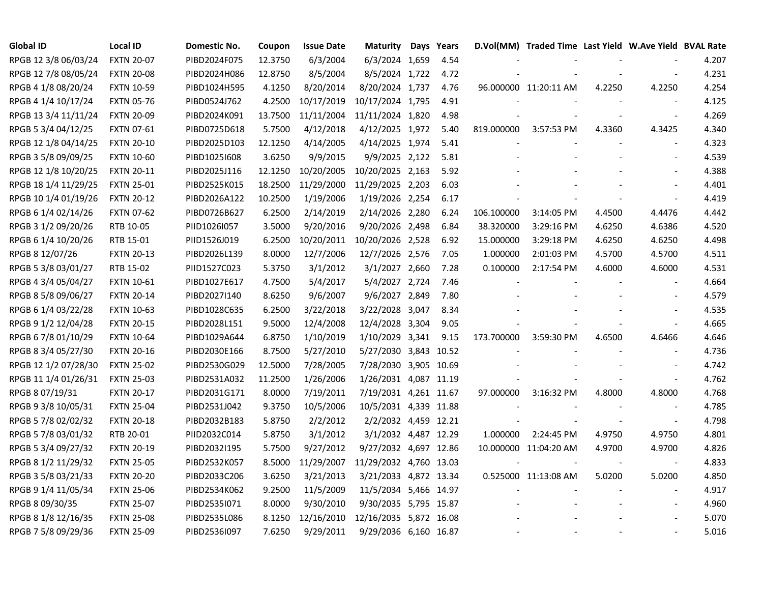| <b>Global ID</b>     | <b>Local ID</b>   | Domestic No. | Coupon  | <b>Issue Date</b> | <b>Maturity</b>        | Days | Years |            | D.Vol(MM) Traded Time Last Yield W.Ave Yield BVAL Rate |        |                          |       |
|----------------------|-------------------|--------------|---------|-------------------|------------------------|------|-------|------------|--------------------------------------------------------|--------|--------------------------|-------|
| RPGB 12 3/8 06/03/24 | <b>FXTN 20-07</b> | PIBD2024F075 | 12.3750 | 6/3/2004          | 6/3/2024 1,659         |      | 4.54  |            |                                                        |        |                          | 4.207 |
| RPGB 12 7/8 08/05/24 | <b>FXTN 20-08</b> | PIBD2024H086 | 12.8750 | 8/5/2004          | 8/5/2024 1,722         |      | 4.72  |            |                                                        |        |                          | 4.231 |
| RPGB 4 1/8 08/20/24  | <b>FXTN 10-59</b> | PIBD1024H595 | 4.1250  | 8/20/2014         | 8/20/2024 1,737        |      | 4.76  |            | 96.000000 11:20:11 AM                                  | 4.2250 | 4.2250                   | 4.254 |
| RPGB 4 1/4 10/17/24  | <b>FXTN 05-76</b> | PIBD0524J762 | 4.2500  | 10/17/2019        | 10/17/2024 1,795       |      | 4.91  |            |                                                        |        |                          | 4.125 |
| RPGB 13 3/4 11/11/24 | <b>FXTN 20-09</b> | PIBD2024K091 | 13.7500 | 11/11/2004        | 11/11/2024 1,820       |      | 4.98  |            |                                                        |        | $\overline{\phantom{a}}$ | 4.269 |
| RPGB 5 3/4 04/12/25  | <b>FXTN 07-61</b> | PIBD0725D618 | 5.7500  | 4/12/2018         | 4/12/2025 1,972        |      | 5.40  | 819.000000 | 3:57:53 PM                                             | 4.3360 | 4.3425                   | 4.340 |
| RPGB 12 1/8 04/14/25 | <b>FXTN 20-10</b> | PIBD2025D103 | 12.1250 | 4/14/2005         | 4/14/2025 1,974        |      | 5.41  |            |                                                        |        | $\overline{a}$           | 4.323 |
| RPGB 3 5/8 09/09/25  | <b>FXTN 10-60</b> | PIBD1025I608 | 3.6250  | 9/9/2015          | 9/9/2025 2,122         |      | 5.81  |            |                                                        |        |                          | 4.539 |
| RPGB 12 1/8 10/20/25 | <b>FXTN 20-11</b> | PIBD2025J116 | 12.1250 | 10/20/2005        | 10/20/2025 2,163       |      | 5.92  |            |                                                        |        |                          | 4.388 |
| RPGB 18 1/4 11/29/25 | <b>FXTN 25-01</b> | PIBD2525K015 | 18.2500 | 11/29/2000        | 11/29/2025 2,203       |      | 6.03  |            |                                                        |        |                          | 4.401 |
| RPGB 10 1/4 01/19/26 | <b>FXTN 20-12</b> | PIBD2026A122 | 10.2500 | 1/19/2006         | 1/19/2026 2,254        |      | 6.17  |            |                                                        |        | $\blacksquare$           | 4.419 |
| RPGB 6 1/4 02/14/26  | <b>FXTN 07-62</b> | PIBD0726B627 | 6.2500  | 2/14/2019         | 2/14/2026 2,280        |      | 6.24  | 106.100000 | 3:14:05 PM                                             | 4.4500 | 4.4476                   | 4.442 |
| RPGB 3 1/2 09/20/26  | RTB 10-05         | PIID1026I057 | 3.5000  | 9/20/2016         | 9/20/2026 2,498        |      | 6.84  | 38.320000  | 3:29:16 PM                                             | 4.6250 | 4.6386                   | 4.520 |
| RPGB 6 1/4 10/20/26  | RTB 15-01         | PIID1526J019 | 6.2500  | 10/20/2011        | 10/20/2026 2,528       |      | 6.92  | 15.000000  | 3:29:18 PM                                             | 4.6250 | 4.6250                   | 4.498 |
| RPGB 8 12/07/26      | <b>FXTN 20-13</b> | PIBD2026L139 | 8.0000  | 12/7/2006         | 12/7/2026 2,576        |      | 7.05  | 1.000000   | 2:01:03 PM                                             | 4.5700 | 4.5700                   | 4.511 |
| RPGB 5 3/8 03/01/27  | RTB 15-02         | PIID1527C023 | 5.3750  | 3/1/2012          | 3/1/2027 2,660         |      | 7.28  | 0.100000   | 2:17:54 PM                                             | 4.6000 | 4.6000                   | 4.531 |
| RPGB 4 3/4 05/04/27  | <b>FXTN 10-61</b> | PIBD1027E617 | 4.7500  | 5/4/2017          | 5/4/2027 2,724         |      | 7.46  |            |                                                        |        |                          | 4.664 |
| RPGB 8 5/8 09/06/27  | <b>FXTN 20-14</b> | PIBD2027I140 | 8.6250  | 9/6/2007          | 9/6/2027 2,849         |      | 7.80  |            |                                                        |        |                          | 4.579 |
| RPGB 6 1/4 03/22/28  | <b>FXTN 10-63</b> | PIBD1028C635 | 6.2500  | 3/22/2018         | 3/22/2028 3,047        |      | 8.34  |            |                                                        |        |                          | 4.535 |
| RPGB 9 1/2 12/04/28  | <b>FXTN 20-15</b> | PIBD2028L151 | 9.5000  | 12/4/2008         | 12/4/2028 3,304        |      | 9.05  |            |                                                        |        |                          | 4.665 |
| RPGB 6 7/8 01/10/29  | <b>FXTN 10-64</b> | PIBD1029A644 | 6.8750  | 1/10/2019         | 1/10/2029 3,341        |      | 9.15  | 173.700000 | 3:59:30 PM                                             | 4.6500 | 4.6466                   | 4.646 |
| RPGB 8 3/4 05/27/30  | <b>FXTN 20-16</b> | PIBD2030E166 | 8.7500  | 5/27/2010         | 5/27/2030 3,843 10.52  |      |       |            |                                                        |        | $\overline{a}$           | 4.736 |
| RPGB 12 1/2 07/28/30 | <b>FXTN 25-02</b> | PIBD2530G029 | 12.5000 | 7/28/2005         | 7/28/2030 3,905 10.69  |      |       |            |                                                        |        |                          | 4.742 |
| RPGB 11 1/4 01/26/31 | <b>FXTN 25-03</b> | PIBD2531A032 | 11.2500 | 1/26/2006         | 1/26/2031 4,087 11.19  |      |       |            |                                                        |        | $\overline{a}$           | 4.762 |
| RPGB 8 07/19/31      | <b>FXTN 20-17</b> | PIBD2031G171 | 8.0000  | 7/19/2011         | 7/19/2031 4,261 11.67  |      |       | 97.000000  | 3:16:32 PM                                             | 4.8000 | 4.8000                   | 4.768 |
| RPGB 9 3/8 10/05/31  | <b>FXTN 25-04</b> | PIBD2531J042 | 9.3750  | 10/5/2006         | 10/5/2031 4,339 11.88  |      |       |            |                                                        |        |                          | 4.785 |
| RPGB 5 7/8 02/02/32  | <b>FXTN 20-18</b> | PIBD2032B183 | 5.8750  | 2/2/2012          | 2/2/2032 4,459 12.21   |      |       |            |                                                        |        | $\blacksquare$           | 4.798 |
| RPGB 5 7/8 03/01/32  | RTB 20-01         | PIID2032C014 | 5.8750  | 3/1/2012          | 3/1/2032 4,487 12.29   |      |       | 1.000000   | 2:24:45 PM                                             | 4.9750 | 4.9750                   | 4.801 |
| RPGB 5 3/4 09/27/32  | <b>FXTN 20-19</b> | PIBD2032I195 | 5.7500  | 9/27/2012         | 9/27/2032 4,697 12.86  |      |       |            | 10.000000 11:04:20 AM                                  | 4.9700 | 4.9700                   | 4.826 |
| RPGB 8 1/2 11/29/32  | <b>FXTN 25-05</b> | PIBD2532K057 | 8.5000  | 11/29/2007        | 11/29/2032 4,760 13.03 |      |       |            |                                                        |        | $\overline{\phantom{a}}$ | 4.833 |
| RPGB 3 5/8 03/21/33  | <b>FXTN 20-20</b> | PIBD2033C206 | 3.6250  | 3/21/2013         | 3/21/2033 4,872 13.34  |      |       |            | 0.525000 11:13:08 AM                                   | 5.0200 | 5.0200                   | 4.850 |
| RPGB 9 1/4 11/05/34  | <b>FXTN 25-06</b> | PIBD2534K062 | 9.2500  | 11/5/2009         | 11/5/2034 5,466 14.97  |      |       |            |                                                        |        | $\overline{\phantom{a}}$ | 4.917 |
| RPGB 8 09/30/35      | <b>FXTN 25-07</b> | PIBD2535I071 | 8.0000  | 9/30/2010         | 9/30/2035 5,795 15.87  |      |       |            |                                                        |        |                          | 4.960 |
| RPGB 8 1/8 12/16/35  | <b>FXTN 25-08</b> | PIBD2535L086 | 8.1250  | 12/16/2010        | 12/16/2035 5,872 16.08 |      |       |            |                                                        |        |                          | 5.070 |
| RPGB 7 5/8 09/29/36  | <b>FXTN 25-09</b> | PIBD2536I097 | 7.6250  | 9/29/2011         | 9/29/2036 6,160 16.87  |      |       |            |                                                        |        |                          | 5.016 |